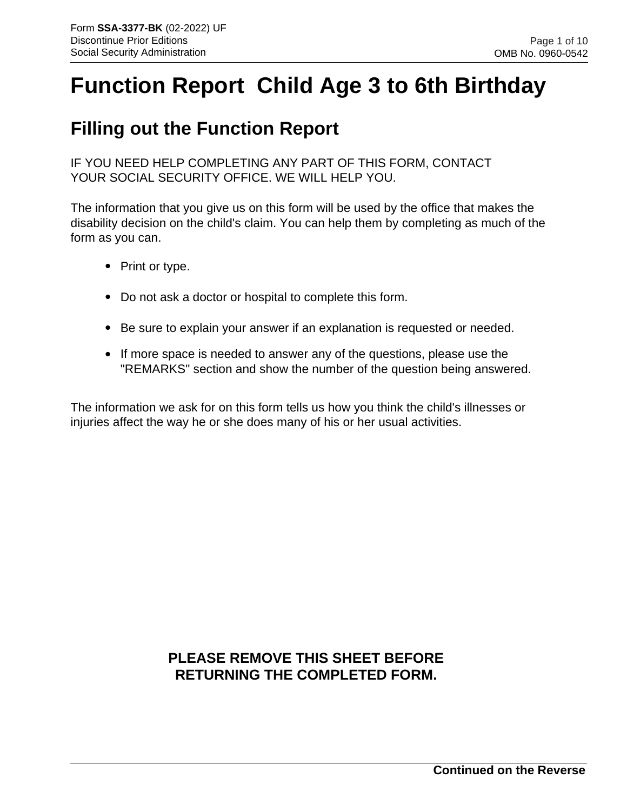# **Function Report Child Age 3 to 6th Birthday**

## **Filling out the Function Report**

IF YOU NEED HELP COMPLETING ANY PART OF THIS FORM, CONTACT YOUR SOCIAL SECURITY OFFICE. WE WILL HELP YOU.

The information that you give us on this form will be used by the office that makes the disability decision on the child's claim. You can help them by completing as much of the form as you can.

- Print or type.
- Do not ask a doctor or hospital to complete this form.
- Be sure to explain your answer if an explanation is requested or needed. •
- If more space is needed to answer any of the questions, please use the "REMARKS" section and show the number of the question being answered.

The information we ask for on this form tells us how you think the child's illnesses or injuries affect the way he or she does many of his or her usual activities.

## **PLEASE REMOVE THIS SHEET BEFORE RETURNING THE COMPLETED FORM.**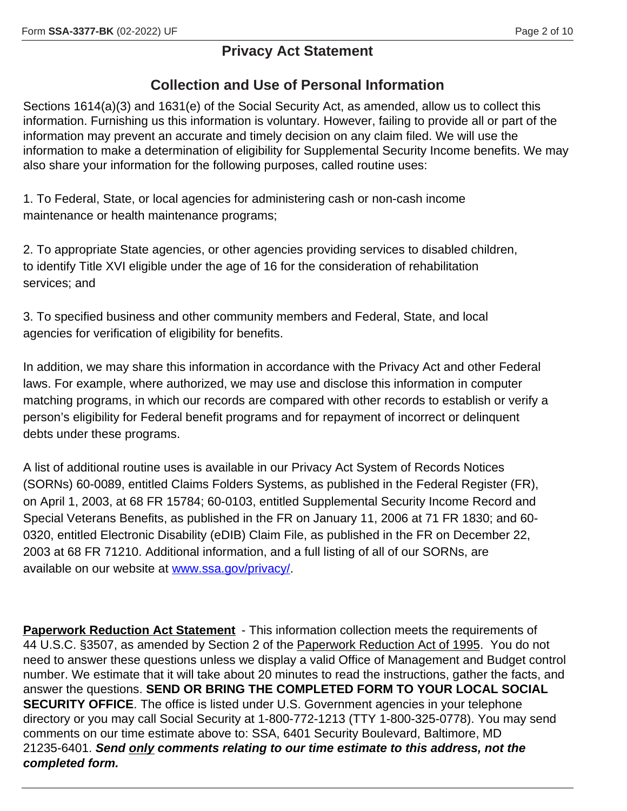#### Page 2 of 10

### **Privacy Act Statement**

## **Collection and Use of Personal Information**

Sections 1614(a)(3) and 1631(e) of the Social Security Act, as amended, allow us to collect this information. Furnishing us this information is voluntary. However, failing to provide all or part of the information may prevent an accurate and timely decision on any claim filed. We will use the information to make a determination of eligibility for Supplemental Security Income benefits. We may also share your information for the following purposes, called routine uses:

1. To Federal, State, or local agencies for administering cash or non-cash income maintenance or health maintenance programs;

2. To appropriate State agencies, or other agencies providing services to disabled children, to identify Title XVI eligible under the age of 16 for the consideration of rehabilitation services; and

3. To specified business and other community members and Federal, State, and local agencies for verification of eligibility for benefits.

In addition, we may share this information in accordance with the Privacy Act and other Federal laws. For example, where authorized, we may use and disclose this information in computer matching programs, in which our records are compared with other records to establish or verify a person's eligibility for Federal benefit programs and for repayment of incorrect or delinquent debts under these programs.

A list of additional routine uses is available in our Privacy Act System of Records Notices (SORNs) 60-0089, entitled Claims Folders Systems, as published in the Federal Register (FR), on April 1, 2003, at 68 FR 15784; 60-0103, entitled Supplemental Security Income Record and Special Veterans Benefits, as published in the FR on January 11, 2006 at 71 FR 1830; and 60- 0320, entitled Electronic Disability (eDIB) Claim File, as published in the FR on December 22, 2003 at 68 FR 71210. Additional information, and a full listing of all of our SORNs, are available on our website at www.ssa.gov/privacy/.

**Paperwork Reduction Act Statement** - This information collection meets the requirements of 44 U.S.C. §3507, as amended by Section 2 of the Paperwork Reduction Act of 1995. You do not need to answer these questions unless we display a valid Office of Management and Budget control number. We estimate that it will take about 20 minutes to read the instructions, gather the facts, and answer the questions. **SEND OR BRING THE COMPLETED FORM TO YOUR LOCAL SOCIAL SECURITY OFFICE**. The office is listed under U.S. Government agencies in your telephone directory or you may call Social Security at 1-800-772-1213 (TTY 1-800-325-0778). You may send comments on our time estimate above to: SSA, 6401 Security Boulevard, Baltimore, MD 21235-6401. *Send only comments relating to our time estimate to this address, not the completed form.*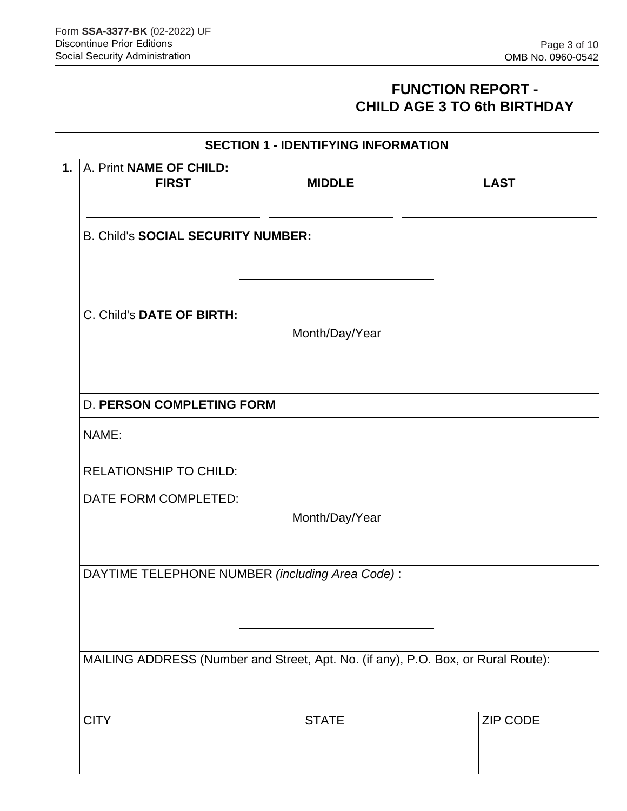## **FUNCTION REPORT - CHILD AGE 3 TO 6th BIRTHDAY**

|                                           | <b>SECTION 1 - IDENTIFYING INFORMATION</b>                                        |                 |
|-------------------------------------------|-----------------------------------------------------------------------------------|-----------------|
| A. Print NAME OF CHILD:<br><b>FIRST</b>   | <b>MIDDLE</b>                                                                     | <b>LAST</b>     |
| <b>B. Child's SOCIAL SECURITY NUMBER:</b> |                                                                                   |                 |
| C. Child's DATE OF BIRTH:                 | Month/Day/Year                                                                    |                 |
| <b>D. PERSON COMPLETING FORM</b>          |                                                                                   |                 |
| NAME:<br><b>RELATIONSHIP TO CHILD:</b>    |                                                                                   |                 |
| DATE FORM COMPLETED:                      | Month/Day/Year                                                                    |                 |
|                                           | DAYTIME TELEPHONE NUMBER (including Area Code):                                   |                 |
|                                           | MAILING ADDRESS (Number and Street, Apt. No. (if any), P.O. Box, or Rural Route): |                 |
| <b>CITY</b>                               | <b>STATE</b>                                                                      | <b>ZIP CODE</b> |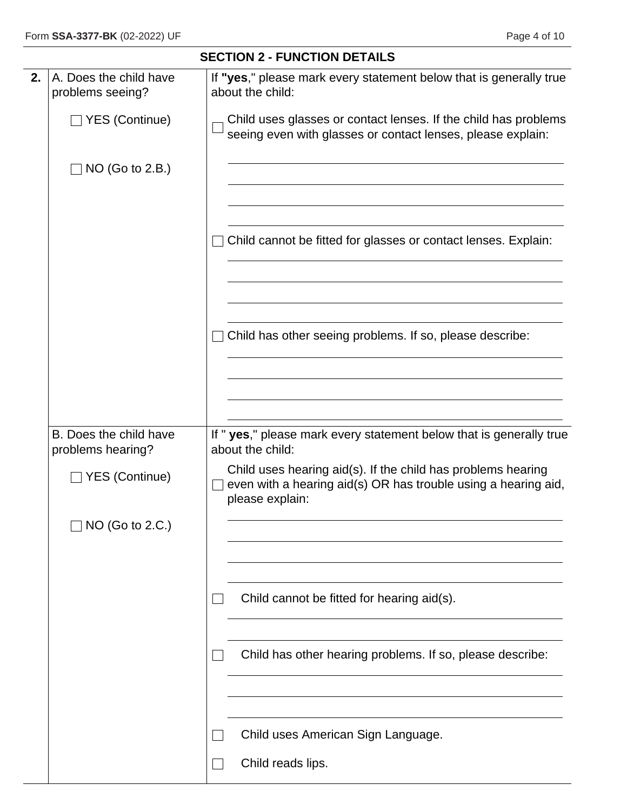$\overline{\phantom{0}}$ 

|    |                                             | <b>SECTION 2 - FUNCTION DETAILS</b>                                                                                                               |  |  |  |  |  |
|----|---------------------------------------------|---------------------------------------------------------------------------------------------------------------------------------------------------|--|--|--|--|--|
| 2. | A. Does the child have<br>problems seeing?  | If "yes," please mark every statement below that is generally true<br>about the child:                                                            |  |  |  |  |  |
|    | $\Box$ YES (Continue)                       | Child uses glasses or contact lenses. If the child has problems<br>seeing even with glasses or contact lenses, please explain:                    |  |  |  |  |  |
|    | $NO$ (Go to 2.B.)                           |                                                                                                                                                   |  |  |  |  |  |
|    |                                             | Child cannot be fitted for glasses or contact lenses. Explain:                                                                                    |  |  |  |  |  |
|    |                                             | Child has other seeing problems. If so, please describe:                                                                                          |  |  |  |  |  |
|    |                                             |                                                                                                                                                   |  |  |  |  |  |
|    | B. Does the child have<br>problems hearing? | If " yes," please mark every statement below that is generally true<br>about the child:                                                           |  |  |  |  |  |
|    | $\Box$ YES (Continue)                       | Child uses hearing aid(s). If the child has problems hearing<br>even with a hearing aid(s) OR has trouble using a hearing aid,<br>please explain: |  |  |  |  |  |
|    | NO (Go to 2.C.)                             |                                                                                                                                                   |  |  |  |  |  |
|    |                                             | Child cannot be fitted for hearing aid(s).                                                                                                        |  |  |  |  |  |
|    |                                             | Child has other hearing problems. If so, please describe:                                                                                         |  |  |  |  |  |
|    |                                             | Child uses American Sign Language.                                                                                                                |  |  |  |  |  |
|    |                                             | Child reads lips.                                                                                                                                 |  |  |  |  |  |
|    |                                             |                                                                                                                                                   |  |  |  |  |  |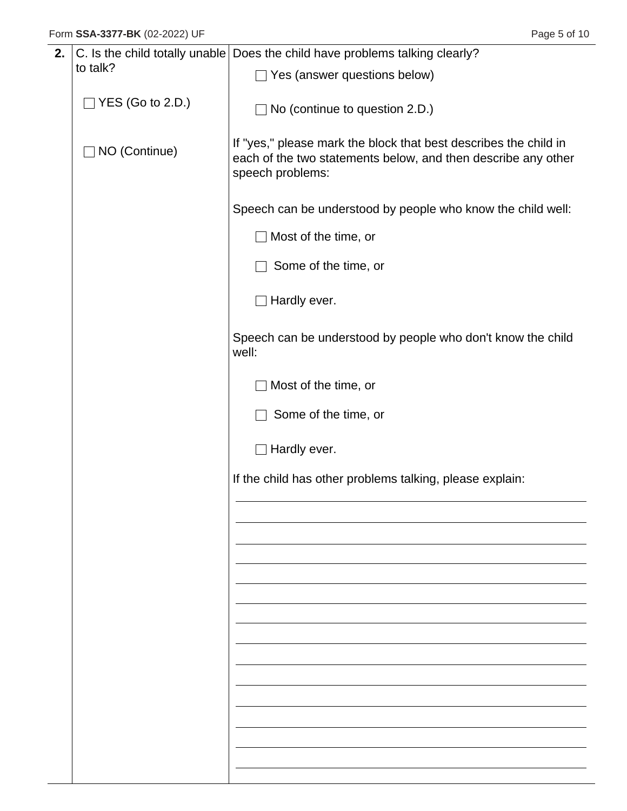| 2. |                         | C. Is the child totally unable Does the child have problems talking clearly?                                                                          |
|----|-------------------------|-------------------------------------------------------------------------------------------------------------------------------------------------------|
|    | to talk?                | $\Box$ Yes (answer questions below)                                                                                                                   |
|    | $\Box$ YES (Go to 2.D.) | $\Box$ No (continue to question 2.D.)                                                                                                                 |
|    | □ NO (Continue)         | If "yes," please mark the block that best describes the child in<br>each of the two statements below, and then describe any other<br>speech problems: |
|    |                         | Speech can be understood by people who know the child well:                                                                                           |
|    |                         | $\Box$ Most of the time, or                                                                                                                           |
|    |                         | Some of the time, or                                                                                                                                  |
|    |                         | $\Box$ Hardly ever.                                                                                                                                   |
|    |                         | Speech can be understood by people who don't know the child<br>well:                                                                                  |
|    |                         | Most of the time, or                                                                                                                                  |
|    |                         | Some of the time, or                                                                                                                                  |
|    |                         | $\Box$ Hardly ever.                                                                                                                                   |
|    |                         | If the child has other problems talking, please explain:                                                                                              |
|    |                         |                                                                                                                                                       |
|    |                         |                                                                                                                                                       |
|    |                         |                                                                                                                                                       |
|    |                         |                                                                                                                                                       |
|    |                         |                                                                                                                                                       |
|    |                         |                                                                                                                                                       |
|    |                         |                                                                                                                                                       |
|    |                         |                                                                                                                                                       |
|    |                         |                                                                                                                                                       |
|    |                         |                                                                                                                                                       |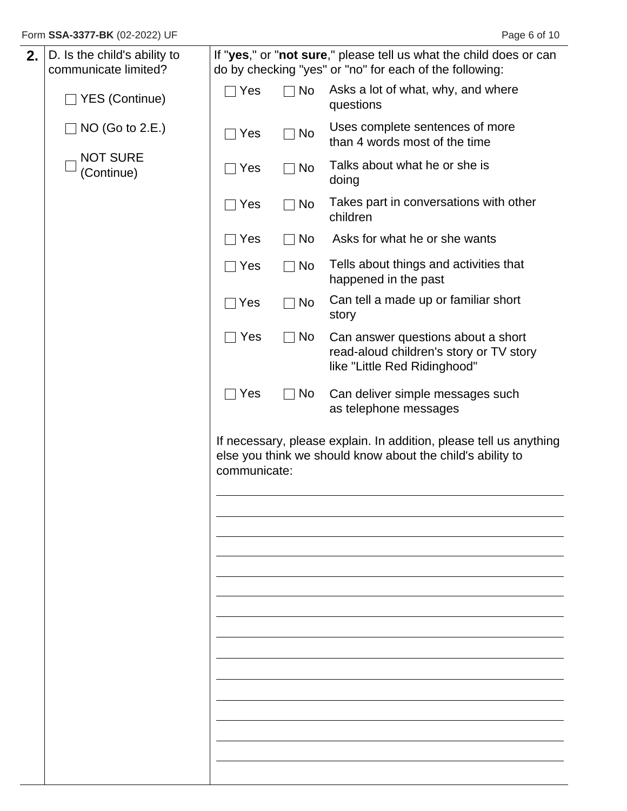| 2. | D. Is the child's ability to<br>communicate limited? |              |             | If "yes," or "not sure," please tell us what the child does or can<br>do by checking "yes" or "no" for each of the following:    |
|----|------------------------------------------------------|--------------|-------------|----------------------------------------------------------------------------------------------------------------------------------|
|    | □ YES (Continue)                                     | $\sqcap$ Yes | $\Box$ No   | Asks a lot of what, why, and where<br>questions                                                                                  |
|    | NO (Go to 2.E.)                                      | Yes          | No          | Uses complete sentences of more<br>than 4 words most of the time                                                                 |
|    | <b>NOT SURE</b><br>(Continue)                        | Yes          | $\sqcap$ No | Talks about what he or she is<br>doing                                                                                           |
|    |                                                      | Yes          | No          | Takes part in conversations with other<br>children                                                                               |
|    |                                                      | Yes          | $\sqcap$ No | Asks for what he or she wants                                                                                                    |
|    |                                                      | Yes          | $\Box$ No   | Tells about things and activities that<br>happened in the past                                                                   |
|    |                                                      | Yes          | No          | Can tell a made up or familiar short<br>story                                                                                    |
|    |                                                      | $\sqcap$ Yes | $\neg$ No   | Can answer questions about a short<br>read-aloud children's story or TV story<br>like "Little Red Ridinghood"                    |
|    |                                                      | $\sqcap$ Yes | $\Box$ No   | Can deliver simple messages such<br>as telephone messages                                                                        |
|    |                                                      | communicate: |             | If necessary, please explain. In addition, please tell us anything<br>else you think we should know about the child's ability to |
|    |                                                      |              |             |                                                                                                                                  |
|    |                                                      |              |             |                                                                                                                                  |
|    |                                                      |              |             |                                                                                                                                  |
|    |                                                      |              |             |                                                                                                                                  |
|    |                                                      |              |             |                                                                                                                                  |
|    |                                                      |              |             |                                                                                                                                  |
|    |                                                      |              |             |                                                                                                                                  |
|    |                                                      |              |             |                                                                                                                                  |
|    |                                                      |              |             |                                                                                                                                  |
|    |                                                      |              |             |                                                                                                                                  |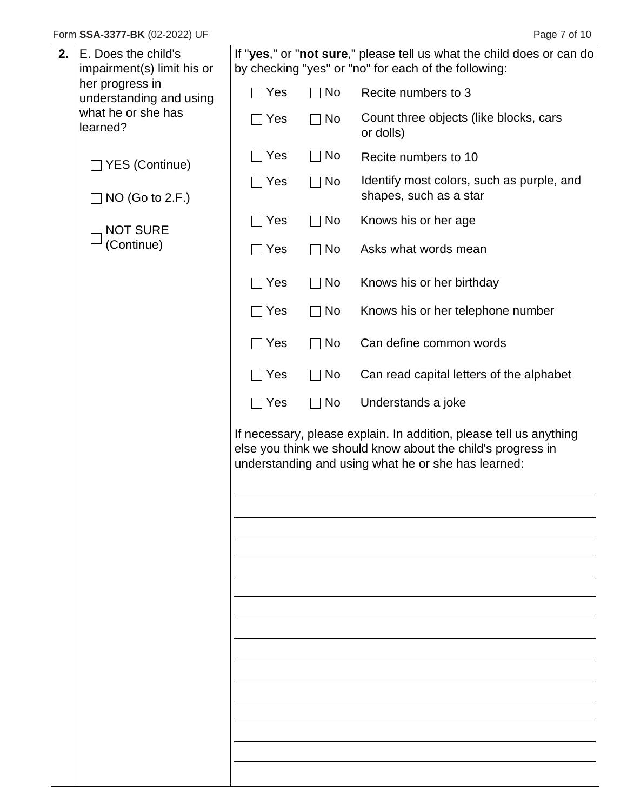| 2. | E. Does the child's            |     |                    | If "yes," or "not sure," please tell us what the child does or can do                                                                                                                    |
|----|--------------------------------|-----|--------------------|------------------------------------------------------------------------------------------------------------------------------------------------------------------------------------------|
|    | impairment(s) limit his or     |     |                    | by checking "yes" or "no" for each of the following:                                                                                                                                     |
|    | her progress in                |     |                    |                                                                                                                                                                                          |
|    | understanding and using        | Yes | No                 | Recite numbers to 3                                                                                                                                                                      |
|    | what he or she has<br>learned? | Yes | No                 | Count three objects (like blocks, cars<br>or dolls)                                                                                                                                      |
|    | <b>YES (Continue)</b>          | Yes | No                 | Recite numbers to 10                                                                                                                                                                     |
|    | NO (Go to 2.F.)                | Yes | No                 | Identify most colors, such as purple, and<br>shapes, such as a star                                                                                                                      |
|    | <b>NOT SURE</b>                | Yes | No                 | Knows his or her age                                                                                                                                                                     |
|    | (Continue)                     | Yes | No                 | Asks what words mean                                                                                                                                                                     |
|    |                                | Yes | $\Box$ No          | Knows his or her birthday                                                                                                                                                                |
|    |                                | Yes | No                 | Knows his or her telephone number                                                                                                                                                        |
|    |                                | Yes | $\Box$ No          | Can define common words                                                                                                                                                                  |
|    |                                | Yes | No<br>$\mathbf{I}$ | Can read capital letters of the alphabet                                                                                                                                                 |
|    |                                | Yes | No                 | Understands a joke                                                                                                                                                                       |
|    |                                |     |                    | If necessary, please explain. In addition, please tell us anything<br>else you think we should know about the child's progress in<br>understanding and using what he or she has learned: |
|    |                                |     |                    |                                                                                                                                                                                          |
|    |                                |     |                    |                                                                                                                                                                                          |
|    |                                |     |                    |                                                                                                                                                                                          |
|    |                                |     |                    |                                                                                                                                                                                          |
|    |                                |     |                    |                                                                                                                                                                                          |
|    |                                |     |                    |                                                                                                                                                                                          |
|    |                                |     |                    |                                                                                                                                                                                          |
|    |                                |     |                    |                                                                                                                                                                                          |
|    |                                |     |                    |                                                                                                                                                                                          |
|    |                                |     |                    |                                                                                                                                                                                          |
|    |                                |     |                    |                                                                                                                                                                                          |
|    |                                |     |                    |                                                                                                                                                                                          |
|    |                                |     |                    |                                                                                                                                                                                          |
|    |                                |     |                    |                                                                                                                                                                                          |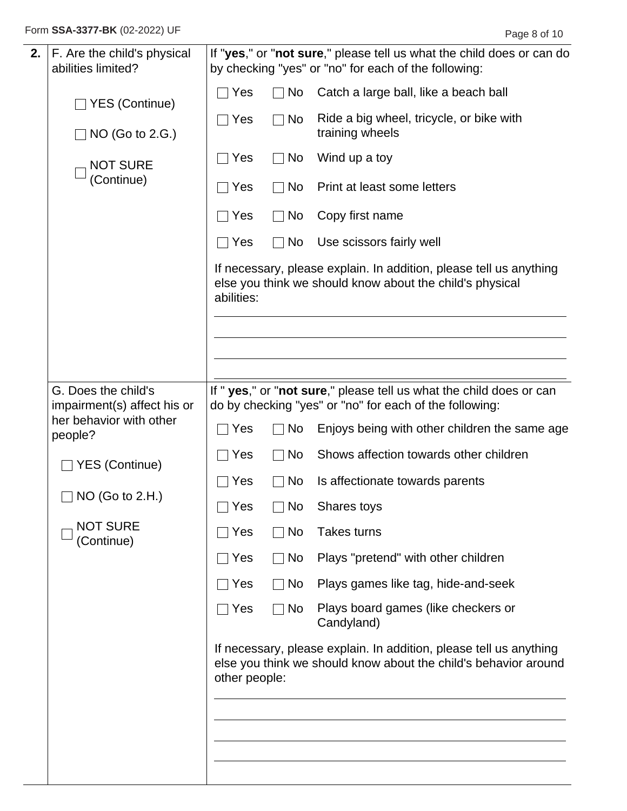Form **SSA-3377-BK** (02-2022) UF **Page 8 of 10** 

| 2. | F. Are the child's physical<br>abilities limited?  |                 |           | If "yes," or "not sure," please tell us what the child does or can do<br>by checking "yes" or "no" for each of the following:         |
|----|----------------------------------------------------|-----------------|-----------|---------------------------------------------------------------------------------------------------------------------------------------|
|    | □ YES (Continue)                                   | $\sqcap$ Yes    | No        | Catch a large ball, like a beach ball                                                                                                 |
|    | NO (Go to 2.G.)                                    | $\sqsupset$ Yes | <b>No</b> | Ride a big wheel, tricycle, or bike with<br>training wheels                                                                           |
|    | <b>NOT SURE</b>                                    | Yes             | No        | Wind up a toy                                                                                                                         |
|    | (Continue)                                         | Yes             | <b>No</b> | Print at least some letters                                                                                                           |
|    |                                                    | $\sqcap$ Yes    | No        | Copy first name                                                                                                                       |
|    |                                                    | $\Box$ Yes      | No        | Use scissors fairly well                                                                                                              |
|    |                                                    | abilities:      |           | If necessary, please explain. In addition, please tell us anything<br>else you think we should know about the child's physical        |
|    |                                                    |                 |           |                                                                                                                                       |
|    | G. Does the child's<br>impairment(s) affect his or |                 |           | If " yes," or "not sure," please tell us what the child does or can<br>do by checking "yes" or "no" for each of the following:        |
|    | her behavior with other<br>people?                 | $\sqcap$ Yes    | No        | Enjoys being with other children the same age                                                                                         |
|    | <b>YES (Continue)</b>                              | Yes             | <b>No</b> | Shows affection towards other children                                                                                                |
|    | NO (Go to 2.H.)                                    | $\sqcap$ Yes    | No        | Is affectionate towards parents                                                                                                       |
|    |                                                    | $\square$ Yes   | $\Box$ No | Shares toys                                                                                                                           |
|    | <b>NOT SURE</b><br>(Continue)                      | Yes             | No        | <b>Takes turns</b>                                                                                                                    |
|    |                                                    | $\sqcap$ Yes    | No        | Plays "pretend" with other children                                                                                                   |
|    |                                                    | $\sqsupset$ Yes | No        | Plays games like tag, hide-and-seek                                                                                                   |
|    |                                                    | $\sqcap$ Yes    | No        | Plays board games (like checkers or<br>Candyland)                                                                                     |
|    |                                                    | other people:   |           | If necessary, please explain. In addition, please tell us anything<br>else you think we should know about the child's behavior around |
|    |                                                    |                 |           |                                                                                                                                       |
|    |                                                    |                 |           |                                                                                                                                       |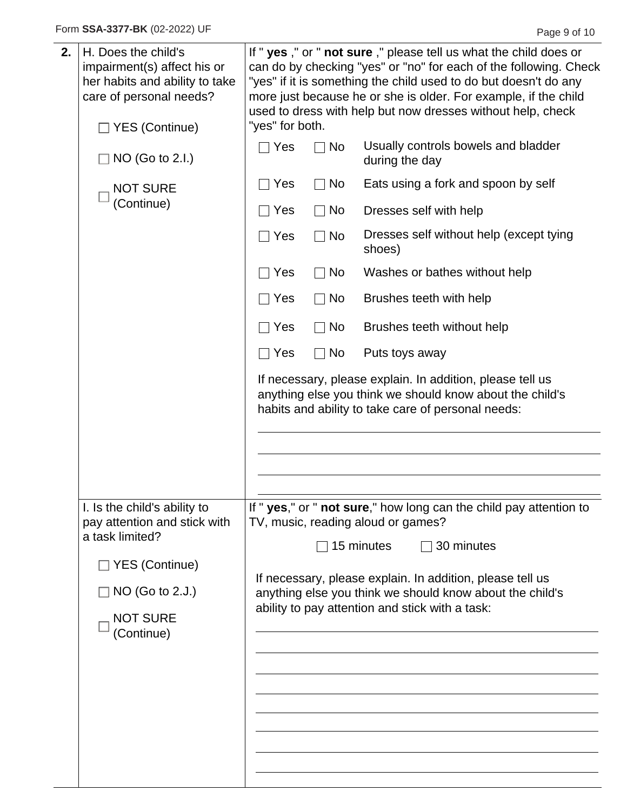| 2. | H. Does the child's<br>impairment(s) affect his or<br>her habits and ability to take<br>care of personal needs?<br>□ YES (Continue)                            | "yes" for both. |    | If " yes," or " not sure," please tell us what the child does or<br>can do by checking "yes" or "no" for each of the following. Check<br>"yes" if it is something the child used to do but doesn't do any<br>more just because he or she is older. For example, if the child<br>used to dress with help but now dresses without help, check |
|----|----------------------------------------------------------------------------------------------------------------------------------------------------------------|-----------------|----|---------------------------------------------------------------------------------------------------------------------------------------------------------------------------------------------------------------------------------------------------------------------------------------------------------------------------------------------|
|    | $\Box$ NO (Go to 2.I.)                                                                                                                                         | $\sqsupset$ Yes | No | Usually controls bowels and bladder<br>during the day                                                                                                                                                                                                                                                                                       |
|    | <b>NOT SURE</b>                                                                                                                                                | Yes             | No | Eats using a fork and spoon by self                                                                                                                                                                                                                                                                                                         |
|    | (Continue)                                                                                                                                                     | Yes             | No | Dresses self with help                                                                                                                                                                                                                                                                                                                      |
|    |                                                                                                                                                                | $\sqcap$ Yes    | No | Dresses self without help (except tying<br>shoes)                                                                                                                                                                                                                                                                                           |
|    |                                                                                                                                                                | Yes             | No | Washes or bathes without help                                                                                                                                                                                                                                                                                                               |
|    |                                                                                                                                                                | Yes             | No | Brushes teeth with help                                                                                                                                                                                                                                                                                                                     |
|    |                                                                                                                                                                | Yes             | No | Brushes teeth without help                                                                                                                                                                                                                                                                                                                  |
|    |                                                                                                                                                                | $\sqcap$ Yes    | No | Puts toys away                                                                                                                                                                                                                                                                                                                              |
|    |                                                                                                                                                                |                 |    | If necessary, please explain. In addition, please tell us<br>anything else you think we should know about the child's<br>habits and ability to take care of personal needs:                                                                                                                                                                 |
|    | I. Is the child's ability to<br>pay attention and stick with<br>a task limited?<br>□ YES (Continue)<br>$\Box$ NO (Go to 2.J.)<br><b>NOT SURE</b><br>(Continue) |                 |    | If " yes," or " not sure," how long can the child pay attention to<br>TV, music, reading aloud or games?<br>15 minutes<br>$\Box$ 30 minutes<br>If necessary, please explain. In addition, please tell us<br>anything else you think we should know about the child's<br>ability to pay attention and stick with a task:                     |